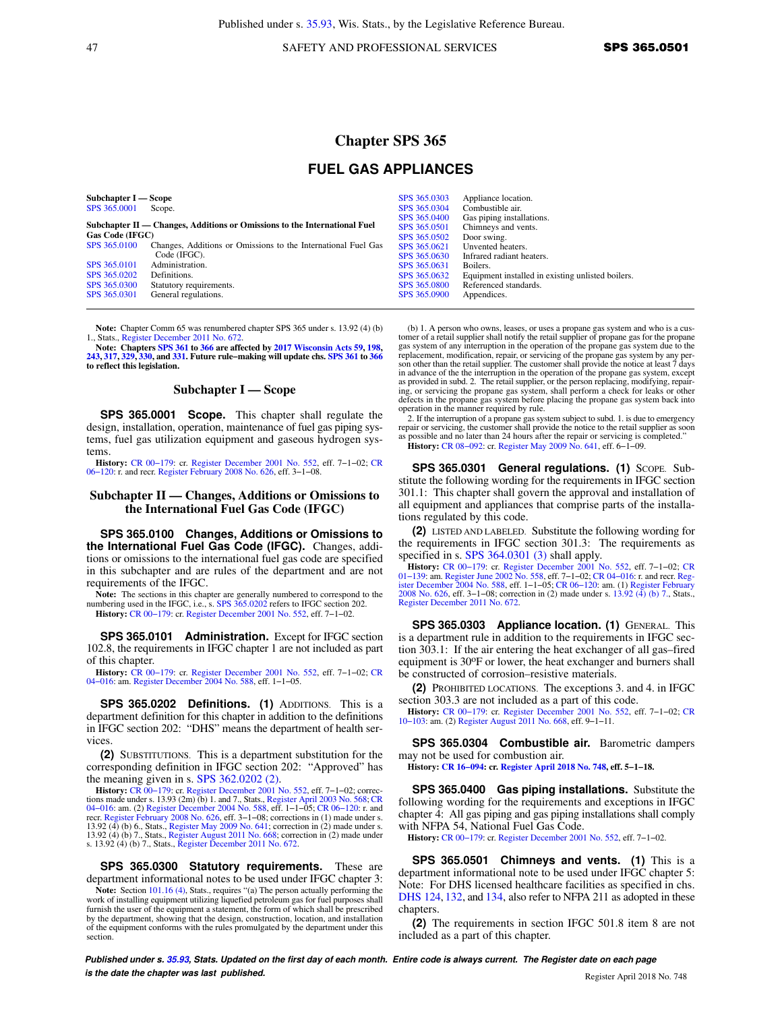47 SAFETY AND PROFESSIONAL SERVICES **SPS 365.0501** 

## **Chapter SPS 365**

## **FUEL GAS APPLIANCES**

| Subchapter I — Scope |                                                                           | SPS 365,0303 | Appliance location.       |
|----------------------|---------------------------------------------------------------------------|--------------|---------------------------|
| SPS 365,0001         | Scope.                                                                    | SPS 365,0304 | Combustible air.          |
|                      |                                                                           | SPS 365,0400 | Gas piping installations. |
|                      | Subchapter II — Changes, Additions or Omissions to the International Fuel | SPS 365,0501 | Chimneys and vents.       |
| Gas Code (IFGC)      |                                                                           | SPS 365,0502 | Door swing.               |
| SPS 365,0100         | Changes, Additions or Omissions to the International Fuel Gas             | SPS 365,0621 | Unvented heaters.         |
|                      | Code (IFGC).                                                              | SPS 365,0630 | Infrared radiant heaters. |
| SPS 365,0101         | Administration.                                                           | SPS 365,0631 | Boilers.                  |
| SPS 365,0202         | Definitions.                                                              | SPS 365,0632 | Equipment installed in e  |
| SPS 365,0300         | Statutory requirements.                                                   | SPS 365,0800 | Referenced standards.     |
| SPS 365,0301         | General regulations.                                                      | SPS 365.0900 | Appendices.               |

**Note:** Chapter Comm 65 was renumbered chapter SPS 365 under s. 13.92 (4) (b) 1., Stats., [Register December 2011 No. 672](https://docs-preview.legis.wisconsin.gov/document/register/672/B/toc).

Note: Chapters [SPS 361](https://docs-preview.legis.wisconsin.gov/document/administrativecode/ch.%20SPS%20361) to [366](https://docs-preview.legis.wisconsin.gov/document/administrativecode/ch.%20SPS%20366) are affected by [2017 Wisconsin Acts 59](https://docs-preview.legis.wisconsin.gov/document/acts/2017/59), [198](https://docs-preview.legis.wisconsin.gov/document/acts/2017/198), [243](https://docs-preview.legis.wisconsin.gov/document/acts/2017/243), [317,](https://docs-preview.legis.wisconsin.gov/document/acts/2017/317) [329,](https://docs-preview.legis.wisconsin.gov/document/acts/2017/329) [330](https://docs-preview.legis.wisconsin.gov/document/acts/2017/330), and [331.](https://docs-preview.legis.wisconsin.gov/document/acts/2017/331) Future rule–making will update chs. SPS 361 to [366](https://docs-preview.legis.wisconsin.gov/document/administrativecode/ch.%20SPS%20366) **to reflect this legislation.**

## **Subchapter I — Scope**

**SPS 365.0001 Scope.** This chapter shall regulate the design, installation, operation, maintenance of fuel gas piping systems, fuel gas utilization equipment and gaseous hydrogen systems.

**History:** CR 00–179: cr. [Register December 2001 No. 552](https://docs-preview.legis.wisconsin.gov/document/register/552/B/toc), eff. 7–1–02; [CR](https://docs-preview.legis.wisconsin.gov/document/cr/2006/120) 06–120: r. and recr. [Register February 2008 No. 626](https://docs-preview.legis.wisconsin.gov/document/register/626/B/toc), eff. 3–1–08.

## **Subchapter II — Changes, Additions or Omissions to the International Fuel Gas Code (IFGC)**

**SPS 365.0100 Changes, Additions or Omissions to the International Fuel Gas Code (IFGC).** Changes, additions or omissions to the international fuel gas code are specified in this subchapter and are rules of the department and are not requirements of the IFGC.

Note: The sections in this chapter are generally numbered to correspond to the numbering used in the IFGC, i.e., s. [SPS 365.0202](https://docs-preview.legis.wisconsin.gov/document/administrativecode/SPS%20365.0202) refers to IFGC section 202. **History:** [CR 00−179:](https://docs-preview.legis.wisconsin.gov/document/cr/2000/179) cr. [Register December 2001 No. 552](https://docs-preview.legis.wisconsin.gov/document/register/552/B/toc), eff. 7−1−02.

**SPS 365.0101 Administration.** Except for IFGC section 102.8, the requirements in IFGC chapter 1 are not included as part of this chapter.

**History:** [CR 00−179:](https://docs-preview.legis.wisconsin.gov/document/cr/2000/179) cr. [Register December 2001 No. 552](https://docs-preview.legis.wisconsin.gov/document/register/552/B/toc), eff. 7−1−02; [CR](https://docs-preview.legis.wisconsin.gov/document/cr/2004/16) [04−016:](https://docs-preview.legis.wisconsin.gov/document/cr/2004/16) am. [Register December 2004 No. 588,](https://docs-preview.legis.wisconsin.gov/document/register/588/B/toc) eff. 1−1−05.

**SPS 365.0202 Definitions. (1)** ADDITIONS. This is a department definition for this chapter in addition to the definitions in IFGC section 202: "DHS" means the department of health services.

**(2)** SUBSTITUTIONS. This is a department substitution for the corresponding definition in IFGC section 202: "Approved" has the meaning given in s. [SPS 362.0202 \(2\)](https://docs-preview.legis.wisconsin.gov/document/administrativecode/SPS%20362.0202(2)).

**History:** CR 00–179: cr. [Register December 2001 No. 552](https://docs-preview.legis.wisconsin.gov/document/register/552/B/toc), eff. 7–1–02; corrections made under s. 13.93 (2m) (b) 1. and 7., Stats., [Register April 2003 No. 568](https://docs-preview.legis.wisconsin.gov/document/register/568/B/toc); [CR](https://docs-preview.legis.wisconsin.gov/document/cr/2004/16) 04–016: and 2018 No. 568; CR 04–016: and 20. Begister Decem recr. [Register February 2008 No. 626,](https://docs-preview.legis.wisconsin.gov/document/register/626/B/toc) eff. 3–1–08; corrections in (1) made under s.<br>13.92 (4) (b) 6., Stats., [Register May 2009 No. 641](https://docs-preview.legis.wisconsin.gov/document/register/641/B/toc); correction in (2) made under s.<br>13.92 (4) (b) 7., Stats., Register August 2011 No. 66 s. 13.92 (4) (b) 7., Stats., [Register December 2011 No. 672.](https://docs-preview.legis.wisconsin.gov/document/register/672/B/toc)

**SPS 365.0300 Statutory requirements.** These are department informational notes to be used under IFGC chapter 3: **Note:** Section [101.16 \(4\)](https://docs-preview.legis.wisconsin.gov/document/statutes/101.16(4)), Stats., requires "(a) The person actually performing the work of installing equipment utilizing liquefied petroleum gas for fuel purposes shall furnish the user of the equipment a statement, the form of which shall be prescribed by the department, showing that the design, construction, location, and installation of the equipment conforms with the rules promulgated by the department under this section.

ant heaters. stalled in existing unlisted boilers. tandards.

(b) 1. A person who owns, leases, or uses a propane gas system and who is a cus-tomer of a retail supplier shall notify the retail supplier of propane gas for the propane gas system of any interruption in the operation of the propane gas system due to the replacement, modification, repair, or servicing of the propane gas system by any per-son other than the retail supplier. The customer shall provide the notice at least 7 days in advance of the the interruption in the operation of the propane gas system, except<br>as provided in subd. 2. The retail supplier, or the person replacing, modifying, repair-<br>ing, or servicing the propane gas system, shall defects in the propane gas system before placing the propane gas system back into operation in the manner required by rule.

2. If the interruption of a propane gas system subject to subd. 1. is due to emergency repair or servicing, the customer shall provide the notice to the retail supplier as soon as possible and no later than 24 hours after the repair or servicing is completed." **History:** [CR 08−092](https://docs-preview.legis.wisconsin.gov/document/cr/2008/92): cr. [Register May 2009 No. 641](https://docs-preview.legis.wisconsin.gov/document/register/641/B/toc), eff. 6−1−09.

**SPS 365.0301 General regulations. (1)** SCOPE. Substitute the following wording for the requirements in IFGC section 301.1: This chapter shall govern the approval and installation of all equipment and appliances that comprise parts of the installations regulated by this code.

**(2)** LISTED AND LABELED. Substitute the following wording for the requirements in IFGC section 301.3: The requirements as specified in s. [SPS 364.0301 \(3\)](https://docs-preview.legis.wisconsin.gov/document/administrativecode/SPS%20364.0301(3)) shall apply.

**History:** CR 00–179: cr. [Register December 2001 No. 552,](https://docs-preview.legis.wisconsin.gov/document/register/552/B/toc) eff. 7–1–02; [CR](https://docs-preview.legis.wisconsin.gov/document/cr/2001/139) 01–139: am. [Register June 2002 No. 558,](https://docs-preview.legis.wisconsin.gov/document/register/558/B/toc) eff. 7–1–02; CR 04–016: r. and recr. Reg[ister December 2004 No. 588](https://docs-preview.legis.wisconsin.gov/document/register/588/B/toc), eff. 1–1–05; CR 06–120: am. (1) Regist [Register December 2011 No. 672.](https://docs-preview.legis.wisconsin.gov/document/register/672/B/toc)

**SPS 365.0303 Appliance location. (1)** GENERAL. This is a department rule in addition to the requirements in IFGC section 303.1: If the air entering the heat exchanger of all gas–fired equipment is 30°F or lower, the heat exchanger and burners shall be constructed of corrosion–resistive materials.

**(2)** PROHIBITED LOCATIONS. The exceptions 3. and 4. in IFGC section 303.3 are not included as a part of this code.

**History:** [CR 00−179](https://docs-preview.legis.wisconsin.gov/document/cr/2000/179): cr. [Register December 2001 No. 552,](https://docs-preview.legis.wisconsin.gov/document/register/552/B/toc) eff. 7−1−02; [CR](https://docs-preview.legis.wisconsin.gov/document/cr/2010/103) [10−103](https://docs-preview.legis.wisconsin.gov/document/cr/2010/103): am. (2) [Register August 2011 No. 668](https://docs-preview.legis.wisconsin.gov/document/register/668/B/toc), eff. 9−1−11.

**SPS 365.0304 Combustible air.** Barometric dampers may not be used for combustion air.

**History: [CR 16−094:](https://docs-preview.legis.wisconsin.gov/document/cr/2016/94) cr. [Register April 2018 No. 748,](https://docs-preview.legis.wisconsin.gov/document/register/748/B/toc) eff. 5−1−18.**

**SPS 365.0400 Gas piping installations.** Substitute the following wording for the requirements and exceptions in IFGC chapter 4: All gas piping and gas piping installations shall comply with NFPA 54, National Fuel Gas Code.

**History:** [CR 00−179](https://docs-preview.legis.wisconsin.gov/document/cr/2000/179): cr. [Register December 2001 No. 552](https://docs-preview.legis.wisconsin.gov/document/register/552/B/toc), eff. 7−1−02.

**SPS 365.0501 Chimneys and vents. (1)** This is a department informational note to be used under IFGC chapter 5: Note: For DHS licensed healthcare facilities as specified in chs. [DHS 124](https://docs-preview.legis.wisconsin.gov/document/administrativecode/ch.%20DHS%20124), [132](https://docs-preview.legis.wisconsin.gov/document/administrativecode/ch.%20DHS%20132), and [134](https://docs-preview.legis.wisconsin.gov/document/administrativecode/ch.%20DHS%20134), also refer to NFPA 211 as adopted in these chapters.

**(2)** The requirements in section IFGC 501.8 item 8 are not included as a part of this chapter.

**Published under s. [35.93,](https://docs-preview.legis.wisconsin.gov/document/statutes/35.93) Stats. Updated on the first day of each month. Entire code is always current. The Register date on each page is the date the chapter was last published. is the date the chapter was last published.** Register April 2018 No. 748